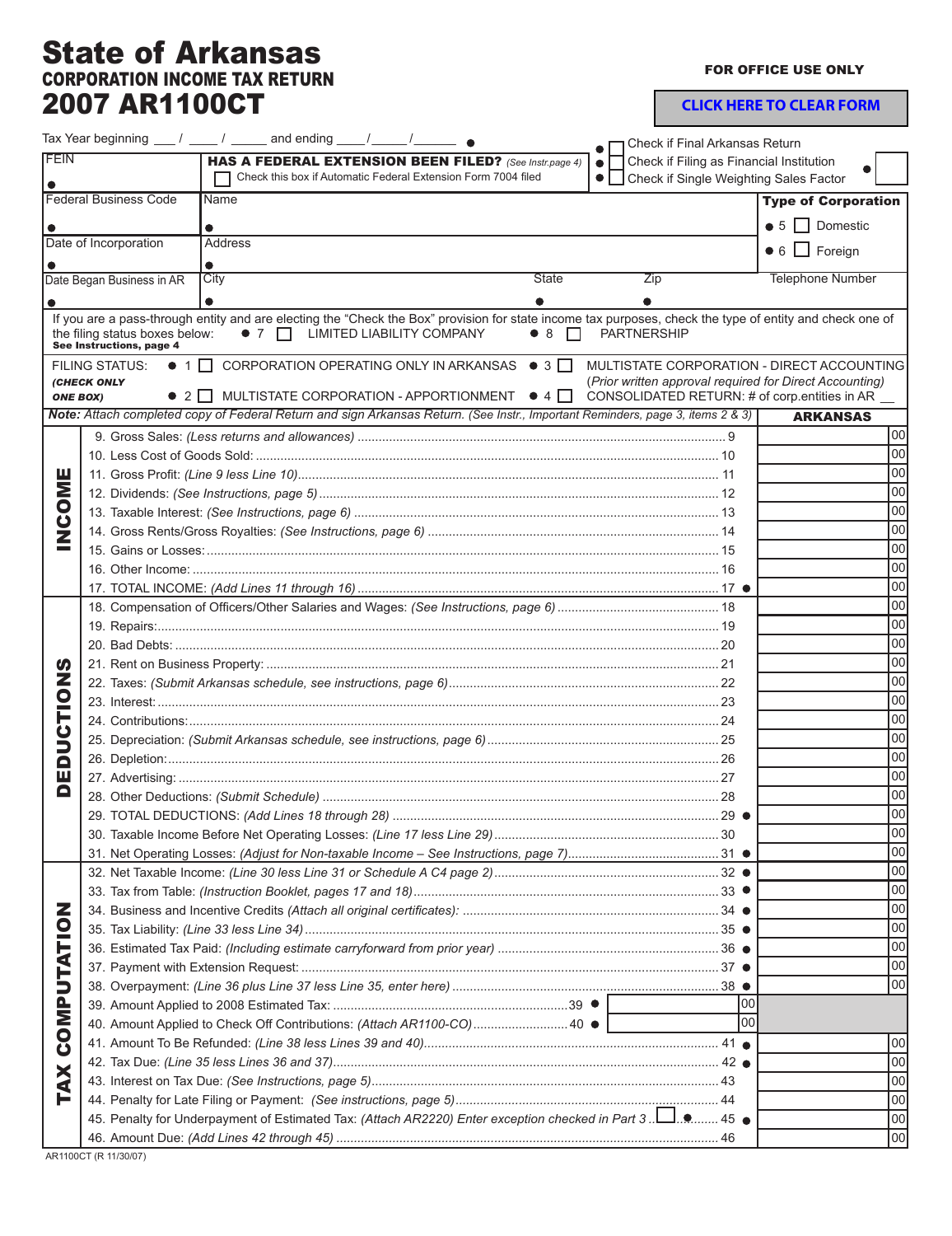## State of Arkansas CORPORATION INCOME TAX RETURN 2007 AR1100CT

FOR OFFICE USE ONLY

**CLICK HERE TO CLEAR FORM**

|                              |                                                            | Tax Year beginning $\frac{1}{\sqrt{2}}$ / $\frac{1}{\sqrt{2}}$ and ending $\frac{1}{\sqrt{2}}$ / $\frac{1}{\sqrt{2}}$ $\bullet$ |                                                                                                                                                                                   | Check if Final Arkansas Return                                                                                                                         |                             |  |
|------------------------------|------------------------------------------------------------|---------------------------------------------------------------------------------------------------------------------------------|-----------------------------------------------------------------------------------------------------------------------------------------------------------------------------------|--------------------------------------------------------------------------------------------------------------------------------------------------------|-----------------------------|--|
| <b>FEIN</b>                  |                                                            |                                                                                                                                 | HAS A FEDERAL EXTENSION BEEN FILED? (See Instr.page 4)                                                                                                                            | Check if Filing as Financial Institution<br>$\bullet$                                                                                                  |                             |  |
|                              |                                                            |                                                                                                                                 | Check this box if Automatic Federal Extension Form 7004 filed                                                                                                                     | Check if Single Weighting Sales Factor<br>$\bullet$ $\vdash$ $\vdash$                                                                                  |                             |  |
| <b>Federal Business Code</b> |                                                            | Name                                                                                                                            |                                                                                                                                                                                   |                                                                                                                                                        | <b>Type of Corporation</b>  |  |
|                              |                                                            |                                                                                                                                 |                                                                                                                                                                                   |                                                                                                                                                        | $\bullet$ 5 $\Box$ Domestic |  |
|                              | Date of Incorporation                                      | <b>Address</b>                                                                                                                  |                                                                                                                                                                                   |                                                                                                                                                        | $\bullet$ 6 $\Box$ Foreign  |  |
|                              |                                                            | $\bullet$                                                                                                                       |                                                                                                                                                                                   |                                                                                                                                                        |                             |  |
|                              | Date Began Business in AR                                  | City                                                                                                                            | State                                                                                                                                                                             | Zip                                                                                                                                                    | <b>Telephone Number</b>     |  |
|                              |                                                            |                                                                                                                                 |                                                                                                                                                                                   |                                                                                                                                                        |                             |  |
|                              | the filing status boxes below:<br>See Instructions, page 4 | • 7   LIMITED LIABILITY COMPANY                                                                                                 | If you are a pass-through entity and are electing the "Check the Box" provision for state income tax purposes, check the type of entity and check one of<br>$\bullet$ 8<br>$\Box$ | <b>PARTNERSHIP</b>                                                                                                                                     |                             |  |
| <b>ONE BOX)</b>              | <b>FILING STATUS:</b><br><b>(CHECK ONLY</b>                |                                                                                                                                 | $\bullet$ 1 $\Box$ CORPORATION OPERATING ONLY IN ARKANSAS $\bullet$ 3 $\Box$<br>$\bullet$ 2 $\Box$ MULTISTATE CORPORATION - APPORTIONMENT $\bullet$ 4 $\Box$                      | MULTISTATE CORPORATION - DIRECT ACCOUNTING<br>(Prior written approval required for Direct Accounting)<br>CONSOLIDATED RETURN: # of corp.entities in AR |                             |  |
|                              |                                                            |                                                                                                                                 | Note: Attach completed copy of Federal Return and sign Arkansas Return. (See Instr., Important Reminders, page 3, items 2 & 3)                                                    |                                                                                                                                                        | <b>ARKANSAS</b>             |  |
|                              |                                                            |                                                                                                                                 |                                                                                                                                                                                   |                                                                                                                                                        | 00                          |  |
|                              |                                                            |                                                                                                                                 |                                                                                                                                                                                   |                                                                                                                                                        | 00                          |  |
|                              |                                                            |                                                                                                                                 |                                                                                                                                                                                   |                                                                                                                                                        |                             |  |
| <b>NNOCA</b>                 |                                                            |                                                                                                                                 |                                                                                                                                                                                   |                                                                                                                                                        | 00 <sup>1</sup>             |  |
|                              |                                                            |                                                                                                                                 |                                                                                                                                                                                   |                                                                                                                                                        | <b>00</b>                   |  |
|                              |                                                            |                                                                                                                                 |                                                                                                                                                                                   |                                                                                                                                                        | 00                          |  |
|                              |                                                            |                                                                                                                                 |                                                                                                                                                                                   |                                                                                                                                                        | 00                          |  |
|                              |                                                            |                                                                                                                                 |                                                                                                                                                                                   |                                                                                                                                                        | 00                          |  |
|                              |                                                            |                                                                                                                                 |                                                                                                                                                                                   |                                                                                                                                                        | 00                          |  |
|                              |                                                            |                                                                                                                                 |                                                                                                                                                                                   |                                                                                                                                                        | 00 <br> 00                  |  |
|                              |                                                            |                                                                                                                                 |                                                                                                                                                                                   |                                                                                                                                                        |                             |  |
|                              |                                                            |                                                                                                                                 |                                                                                                                                                                                   | 00                                                                                                                                                     |                             |  |
| <b>S</b>                     |                                                            |                                                                                                                                 |                                                                                                                                                                                   | 00                                                                                                                                                     |                             |  |
| EDUCTION                     |                                                            |                                                                                                                                 |                                                                                                                                                                                   |                                                                                                                                                        | 00                          |  |
|                              |                                                            |                                                                                                                                 |                                                                                                                                                                                   | <b>00</b>                                                                                                                                              |                             |  |
|                              |                                                            |                                                                                                                                 |                                                                                                                                                                                   |                                                                                                                                                        | 00<br>00                    |  |
|                              |                                                            |                                                                                                                                 |                                                                                                                                                                                   |                                                                                                                                                        |                             |  |
|                              |                                                            |                                                                                                                                 |                                                                                                                                                                                   |                                                                                                                                                        |                             |  |
| Δ                            |                                                            |                                                                                                                                 |                                                                                                                                                                                   |                                                                                                                                                        |                             |  |
|                              |                                                            |                                                                                                                                 |                                                                                                                                                                                   |                                                                                                                                                        |                             |  |
|                              |                                                            |                                                                                                                                 |                                                                                                                                                                                   |                                                                                                                                                        |                             |  |
|                              |                                                            |                                                                                                                                 |                                                                                                                                                                                   |                                                                                                                                                        |                             |  |
|                              |                                                            |                                                                                                                                 |                                                                                                                                                                                   |                                                                                                                                                        | 00 <br> 00                  |  |
|                              |                                                            |                                                                                                                                 |                                                                                                                                                                                   |                                                                                                                                                        | 00                          |  |
| <b>COMPUTATION</b>           |                                                            |                                                                                                                                 |                                                                                                                                                                                   |                                                                                                                                                        | 00                          |  |
|                              |                                                            |                                                                                                                                 |                                                                                                                                                                                   |                                                                                                                                                        |                             |  |
|                              |                                                            |                                                                                                                                 |                                                                                                                                                                                   |                                                                                                                                                        |                             |  |
|                              |                                                            | 00 <br> 00                                                                                                                      |                                                                                                                                                                                   |                                                                                                                                                        |                             |  |
|                              |                                                            |                                                                                                                                 |                                                                                                                                                                                   |                                                                                                                                                        | 00                          |  |
|                              |                                                            |                                                                                                                                 |                                                                                                                                                                                   | 100                                                                                                                                                    |                             |  |
|                              |                                                            |                                                                                                                                 | 40. Amount Applied to Check Off Contributions: (Attach AR1100-CO) 40 ●                                                                                                            | loo                                                                                                                                                    |                             |  |
|                              |                                                            |                                                                                                                                 |                                                                                                                                                                                   |                                                                                                                                                        | 00                          |  |
|                              |                                                            |                                                                                                                                 |                                                                                                                                                                                   |                                                                                                                                                        | 00                          |  |
|                              |                                                            |                                                                                                                                 |                                                                                                                                                                                   |                                                                                                                                                        | 00                          |  |
| <b>TAX</b>                   |                                                            |                                                                                                                                 |                                                                                                                                                                                   |                                                                                                                                                        | 00                          |  |
|                              |                                                            |                                                                                                                                 | 45. Penalty for Underpayment of Estimated Tax: (Attach AR2220) Enter exception checked in Part 3.                                                                                 |                                                                                                                                                        | 00                          |  |
|                              |                                                            |                                                                                                                                 |                                                                                                                                                                                   |                                                                                                                                                        | 00                          |  |
| 10110007                     |                                                            |                                                                                                                                 |                                                                                                                                                                                   |                                                                                                                                                        |                             |  |